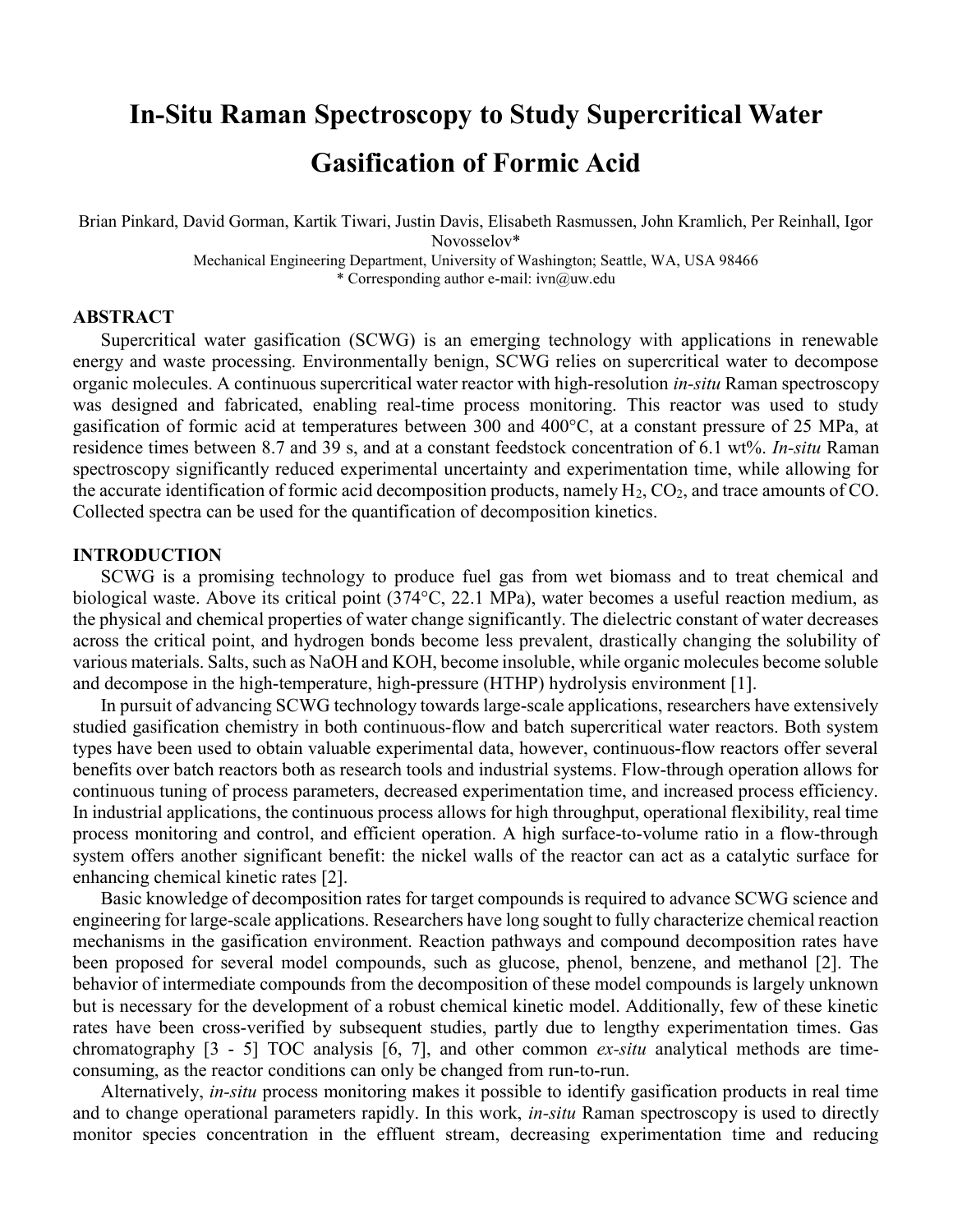# In-Situ Raman Spectroscopy to Study Supercritical Water Gasification of Formic Acid

Brian Pinkard, David Gorman, Kartik Tiwari, Justin Davis, Elisabeth Rasmussen, John Kramlich, Per Reinhall, Igor Novosselov\* Mechanical Engineering Department, University of Washington; Seattle, WA, USA 98466

\* Corresponding author e-mail: ivn@uw.edu

# ABSTRACT

Supercritical water gasification (SCWG) is an emerging technology with applications in renewable energy and waste processing. Environmentally benign, SCWG relies on supercritical water to decompose organic molecules. A continuous supercritical water reactor with high-resolution *in-situ* Raman spectroscopy was designed and fabricated, enabling real-time process monitoring. This reactor was used to study gasification of formic acid at temperatures between 300 and 400°C, at a constant pressure of 25 MPa, at residence times between 8.7 and 39 s, and at a constant feedstock concentration of 6.1 wt%. In-situ Raman spectroscopy significantly reduced experimental uncertainty and experimentation time, while allowing for the accurate identification of formic acid decomposition products, namely  $H_2$ ,  $CO_2$ , and trace amounts of CO. Collected spectra can be used for the quantification of decomposition kinetics.

# INTRODUCTION

SCWG is a promising technology to produce fuel gas from wet biomass and to treat chemical and biological waste. Above its critical point (374°C, 22.1 MPa), water becomes a useful reaction medium, as the physical and chemical properties of water change significantly. The dielectric constant of water decreases across the critical point, and hydrogen bonds become less prevalent, drastically changing the solubility of various materials. Salts, such as NaOH and KOH, become insoluble, while organic molecules become soluble and decompose in the high-temperature, high-pressure (HTHP) hydrolysis environment [1].

In pursuit of advancing SCWG technology towards large-scale applications, researchers have extensively studied gasification chemistry in both continuous-flow and batch supercritical water reactors. Both system types have been used to obtain valuable experimental data, however, continuous-flow reactors offer several benefits over batch reactors both as research tools and industrial systems. Flow-through operation allows for continuous tuning of process parameters, decreased experimentation time, and increased process efficiency. In industrial applications, the continuous process allows for high throughput, operational flexibility, real time process monitoring and control, and efficient operation. A high surface-to-volume ratio in a flow-through system offers another significant benefit: the nickel walls of the reactor can act as a catalytic surface for enhancing chemical kinetic rates [2].

Basic knowledge of decomposition rates for target compounds is required to advance SCWG science and engineering for large-scale applications. Researchers have long sought to fully characterize chemical reaction mechanisms in the gasification environment. Reaction pathways and compound decomposition rates have been proposed for several model compounds, such as glucose, phenol, benzene, and methanol [2]. The behavior of intermediate compounds from the decomposition of these model compounds is largely unknown but is necessary for the development of a robust chemical kinetic model. Additionally, few of these kinetic rates have been cross-verified by subsequent studies, partly due to lengthy experimentation times. Gas chromatography [3 - 5] TOC analysis [6, 7], and other common ex-situ analytical methods are timeconsuming, as the reactor conditions can only be changed from run-to-run.

Alternatively, *in-situ* process monitoring makes it possible to identify gasification products in real time and to change operational parameters rapidly. In this work, *in-situ* Raman spectroscopy is used to directly monitor species concentration in the effluent stream, decreasing experimentation time and reducing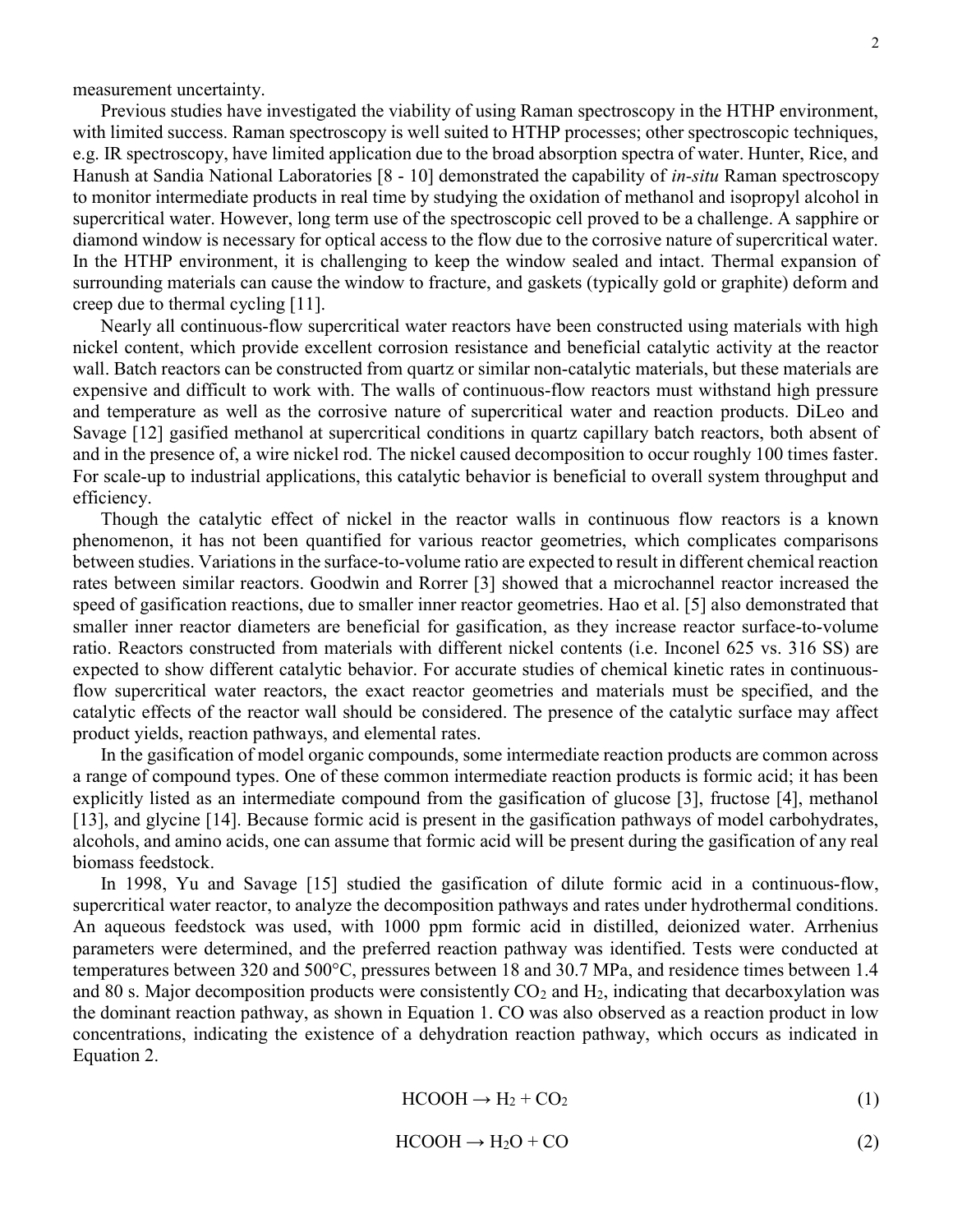measurement uncertainty.

Previous studies have investigated the viability of using Raman spectroscopy in the HTHP environment, with limited success. Raman spectroscopy is well suited to HTHP processes; other spectroscopic techniques, e.g. IR spectroscopy, have limited application due to the broad absorption spectra of water. Hunter, Rice, and Hanush at Sandia National Laboratories [8 - 10] demonstrated the capability of *in-situ* Raman spectroscopy to monitor intermediate products in real time by studying the oxidation of methanol and isopropyl alcohol in supercritical water. However, long term use of the spectroscopic cell proved to be a challenge. A sapphire or diamond window is necessary for optical access to the flow due to the corrosive nature of supercritical water. In the HTHP environment, it is challenging to keep the window sealed and intact. Thermal expansion of surrounding materials can cause the window to fracture, and gaskets (typically gold or graphite) deform and creep due to thermal cycling [11].

Nearly all continuous-flow supercritical water reactors have been constructed using materials with high nickel content, which provide excellent corrosion resistance and beneficial catalytic activity at the reactor wall. Batch reactors can be constructed from quartz or similar non-catalytic materials, but these materials are expensive and difficult to work with. The walls of continuous-flow reactors must withstand high pressure and temperature as well as the corrosive nature of supercritical water and reaction products. DiLeo and Savage [12] gasified methanol at supercritical conditions in quartz capillary batch reactors, both absent of and in the presence of, a wire nickel rod. The nickel caused decomposition to occur roughly 100 times faster. For scale-up to industrial applications, this catalytic behavior is beneficial to overall system throughput and efficiency.

Though the catalytic effect of nickel in the reactor walls in continuous flow reactors is a known phenomenon, it has not been quantified for various reactor geometries, which complicates comparisons between studies. Variations in the surface-to-volume ratio are expected to result in different chemical reaction rates between similar reactors. Goodwin and Rorrer [3] showed that a microchannel reactor increased the speed of gasification reactions, due to smaller inner reactor geometries. Hao et al. [5] also demonstrated that smaller inner reactor diameters are beneficial for gasification, as they increase reactor surface-to-volume ratio. Reactors constructed from materials with different nickel contents (i.e. Inconel 625 vs. 316 SS) are expected to show different catalytic behavior. For accurate studies of chemical kinetic rates in continuousflow supercritical water reactors, the exact reactor geometries and materials must be specified, and the catalytic effects of the reactor wall should be considered. The presence of the catalytic surface may affect product yields, reaction pathways, and elemental rates.

In the gasification of model organic compounds, some intermediate reaction products are common across a range of compound types. One of these common intermediate reaction products is formic acid; it has been explicitly listed as an intermediate compound from the gasification of glucose [3], fructose [4], methanol [13], and glycine [14]. Because formic acid is present in the gasification pathways of model carbohydrates, alcohols, and amino acids, one can assume that formic acid will be present during the gasification of any real biomass feedstock.

In 1998, Yu and Savage [15] studied the gasification of dilute formic acid in a continuous-flow, supercritical water reactor, to analyze the decomposition pathways and rates under hydrothermal conditions. An aqueous feedstock was used, with 1000 ppm formic acid in distilled, deionized water. Arrhenius parameters were determined, and the preferred reaction pathway was identified. Tests were conducted at temperatures between 320 and 500°C, pressures between 18 and 30.7 MPa, and residence times between 1.4 and 80 s. Major decomposition products were consistently  $CO<sub>2</sub>$  and  $H<sub>2</sub>$ , indicating that decarboxylation was the dominant reaction pathway, as shown in Equation 1. CO was also observed as a reaction product in low concentrations, indicating the existence of a dehydration reaction pathway, which occurs as indicated in Equation 2.

$$
HCOOH \rightarrow H_2 + CO_2 \tag{1}
$$

$$
HCOOH \to H_2O + CO \tag{2}
$$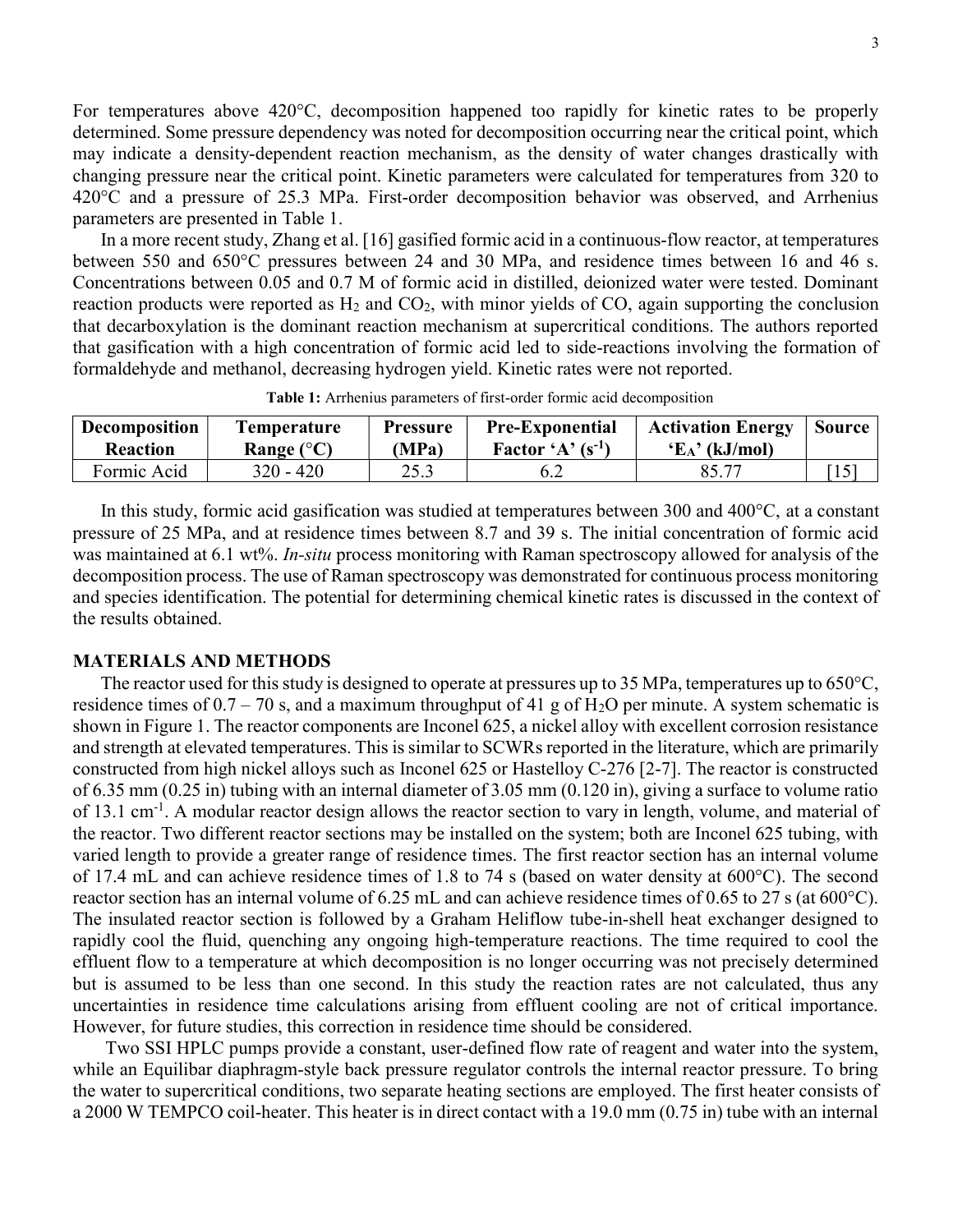For temperatures above 420°C, decomposition happened too rapidly for kinetic rates to be properly determined. Some pressure dependency was noted for decomposition occurring near the critical point, which may indicate a density-dependent reaction mechanism, as the density of water changes drastically with changing pressure near the critical point. Kinetic parameters were calculated for temperatures from 320 to 420°C and a pressure of 25.3 MPa. First-order decomposition behavior was observed, and Arrhenius parameters are presented in Table 1.

In a more recent study, Zhang et al. [16] gasified formic acid in a continuous-flow reactor, at temperatures between 550 and 650°C pressures between 24 and 30 MPa, and residence times between 16 and 46 s. Concentrations between 0.05 and 0.7 M of formic acid in distilled, deionized water were tested. Dominant reaction products were reported as  $H_2$  and  $CO_2$ , with minor yields of  $CO$ , again supporting the conclusion that decarboxylation is the dominant reaction mechanism at supercritical conditions. The authors reported that gasification with a high concentration of formic acid led to side-reactions involving the formation of formaldehyde and methanol, decreasing hydrogen yield. Kinetic rates were not reported.

| <b>Decomposition</b> | <b>Temperature</b>  | <b>Pressure</b> | <b>Pre-Exponential</b> | <b>Activation Energy</b> | Source |
|----------------------|---------------------|-----------------|------------------------|--------------------------|--------|
| <b>Reaction</b>      | Range $(^{\circ}C)$ | (MPa)           | Factor 'A' $(s^{-1})$  | $E_A$ ' (kJ/mol)         |        |
| Formic Acid          | $320 - 420$         | 25.3            | 6.2                    |                          |        |

Table 1: Arrhenius parameters of first-order formic acid decomposition

In this study, formic acid gasification was studied at temperatures between 300 and 400°C, at a constant pressure of 25 MPa, and at residence times between 8.7 and 39 s. The initial concentration of formic acid was maintained at 6.1 wt%. In-situ process monitoring with Raman spectroscopy allowed for analysis of the decomposition process. The use of Raman spectroscopy was demonstrated for continuous process monitoring and species identification. The potential for determining chemical kinetic rates is discussed in the context of the results obtained.

## MATERIALS AND METHODS

The reactor used for this study is designed to operate at pressures up to 35 MPa, temperatures up to 650 $^{\circ}$ C, residence times of  $0.7 - 70$  s, and a maximum throughput of 41 g of H<sub>2</sub>O per minute. A system schematic is shown in Figure 1. The reactor components are Inconel 625, a nickel alloy with excellent corrosion resistance and strength at elevated temperatures. This is similar to SCWRs reported in the literature, which are primarily constructed from high nickel alloys such as Inconel 625 or Hastelloy C-276 [2-7]. The reactor is constructed of 6.35 mm (0.25 in) tubing with an internal diameter of 3.05 mm (0.120 in), giving a surface to volume ratio of 13.1 cm<sup>-1</sup>. A modular reactor design allows the reactor section to vary in length, volume, and material of the reactor. Two different reactor sections may be installed on the system; both are Inconel 625 tubing, with varied length to provide a greater range of residence times. The first reactor section has an internal volume of 17.4 mL and can achieve residence times of 1.8 to 74 s (based on water density at 600°C). The second reactor section has an internal volume of 6.25 mL and can achieve residence times of 0.65 to 27 s (at 600°C). The insulated reactor section is followed by a Graham Heliflow tube-in-shell heat exchanger designed to rapidly cool the fluid, quenching any ongoing high-temperature reactions. The time required to cool the effluent flow to a temperature at which decomposition is no longer occurring was not precisely determined but is assumed to be less than one second. In this study the reaction rates are not calculated, thus any uncertainties in residence time calculations arising from effluent cooling are not of critical importance. However, for future studies, this correction in residence time should be considered.

 Two SSI HPLC pumps provide a constant, user-defined flow rate of reagent and water into the system, while an Equilibar diaphragm-style back pressure regulator controls the internal reactor pressure. To bring the water to supercritical conditions, two separate heating sections are employed. The first heater consists of a 2000 W TEMPCO coil-heater. This heater is in direct contact with a 19.0 mm (0.75 in) tube with an internal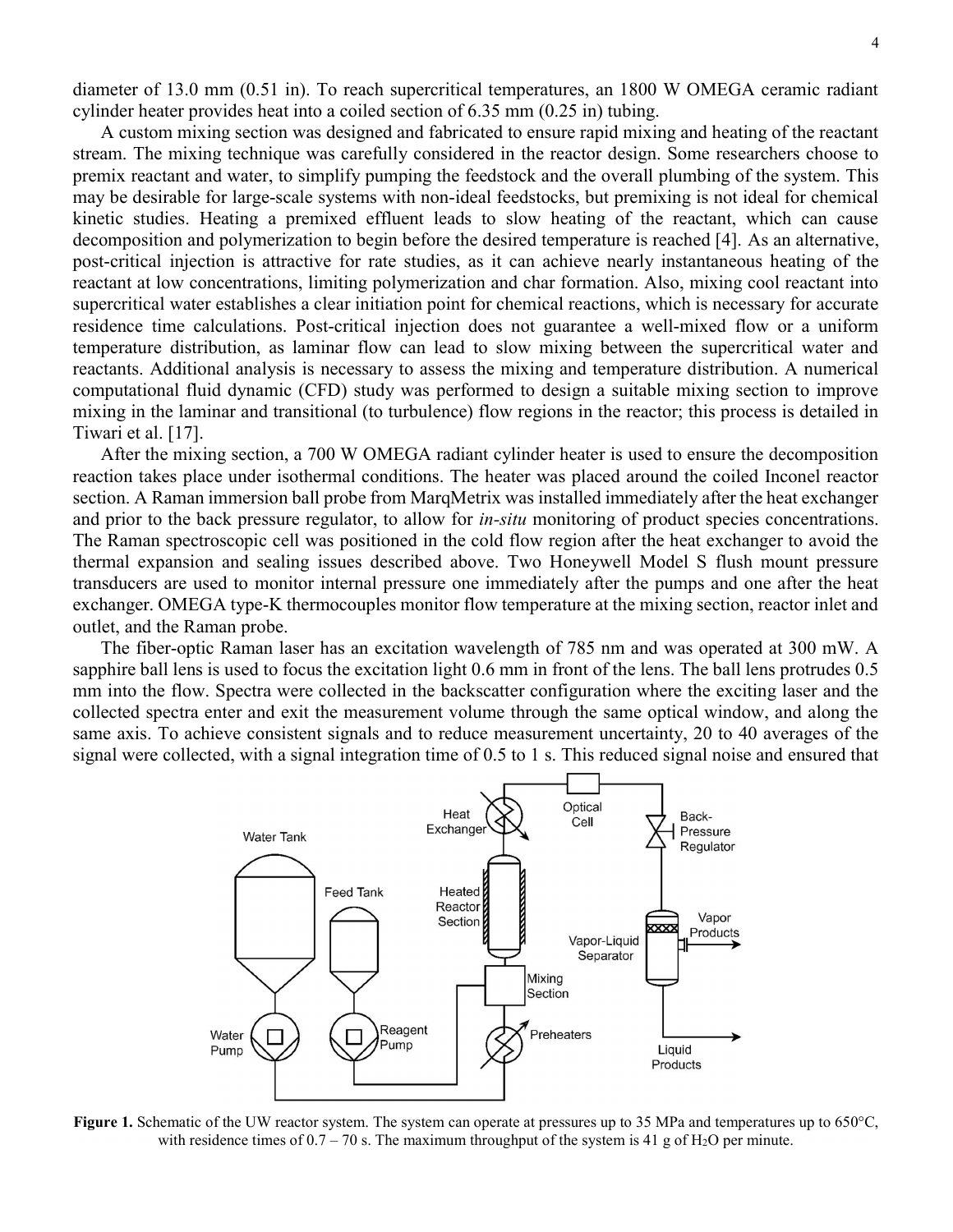diameter of 13.0 mm (0.51 in). To reach supercritical temperatures, an 1800 W OMEGA ceramic radiant cylinder heater provides heat into a coiled section of 6.35 mm (0.25 in) tubing.

A custom mixing section was designed and fabricated to ensure rapid mixing and heating of the reactant stream. The mixing technique was carefully considered in the reactor design. Some researchers choose to premix reactant and water, to simplify pumping the feedstock and the overall plumbing of the system. This may be desirable for large-scale systems with non-ideal feedstocks, but premixing is not ideal for chemical kinetic studies. Heating a premixed effluent leads to slow heating of the reactant, which can cause decomposition and polymerization to begin before the desired temperature is reached [4]. As an alternative, post-critical injection is attractive for rate studies, as it can achieve nearly instantaneous heating of the reactant at low concentrations, limiting polymerization and char formation. Also, mixing cool reactant into supercritical water establishes a clear initiation point for chemical reactions, which is necessary for accurate residence time calculations. Post-critical injection does not guarantee a well-mixed flow or a uniform temperature distribution, as laminar flow can lead to slow mixing between the supercritical water and reactants. Additional analysis is necessary to assess the mixing and temperature distribution. A numerical computational fluid dynamic (CFD) study was performed to design a suitable mixing section to improve mixing in the laminar and transitional (to turbulence) flow regions in the reactor; this process is detailed in Tiwari et al. [17].

After the mixing section, a 700 W OMEGA radiant cylinder heater is used to ensure the decomposition reaction takes place under isothermal conditions. The heater was placed around the coiled Inconel reactor section. A Raman immersion ball probe from MarqMetrix was installed immediately after the heat exchanger and prior to the back pressure regulator, to allow for *in-situ* monitoring of product species concentrations. The Raman spectroscopic cell was positioned in the cold flow region after the heat exchanger to avoid the thermal expansion and sealing issues described above. Two Honeywell Model S flush mount pressure transducers are used to monitor internal pressure one immediately after the pumps and one after the heat exchanger. OMEGA type-K thermocouples monitor flow temperature at the mixing section, reactor inlet and outlet, and the Raman probe.

The fiber-optic Raman laser has an excitation wavelength of 785 nm and was operated at 300 mW. A sapphire ball lens is used to focus the excitation light 0.6 mm in front of the lens. The ball lens protrudes 0.5 mm into the flow. Spectra were collected in the backscatter configuration where the exciting laser and the collected spectra enter and exit the measurement volume through the same optical window, and along the same axis. To achieve consistent signals and to reduce measurement uncertainty, 20 to 40 averages of the signal were collected, with a signal integration time of 0.5 to 1 s. This reduced signal noise and ensured that



Figure 1. Schematic of the UW reactor system. The system can operate at pressures up to 35 MPa and temperatures up to 650°C, with residence times of  $0.7 - 70$  s. The maximum throughput of the system is 41 g of H<sub>2</sub>O per minute.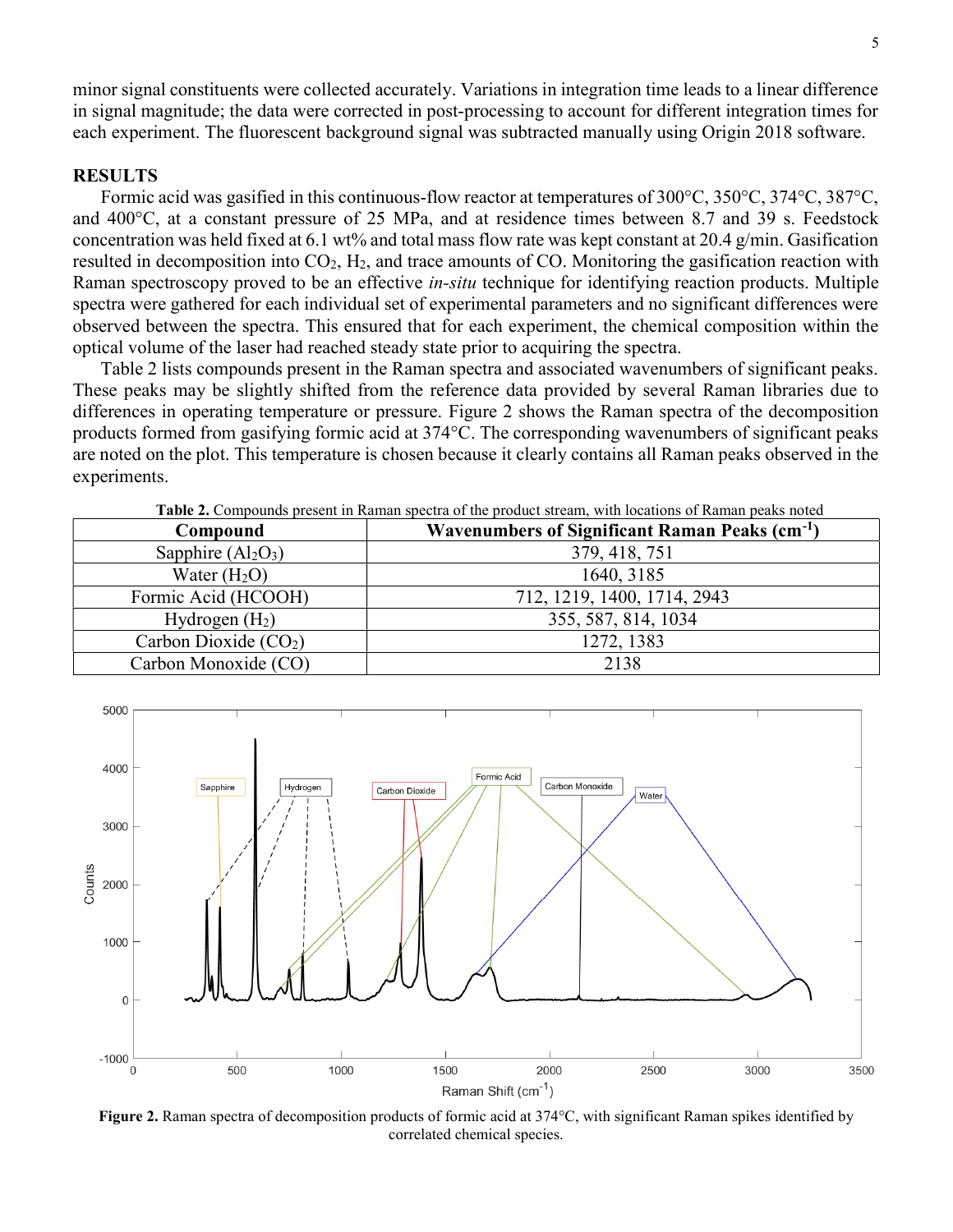minor signal constituents were collected accurately. Variations in integration time leads to a linear difference in signal magnitude; the data were corrected in post-processing to account for different integration times for each experiment. The fluorescent background signal was subtracted manually using Origin 2018 software.

# RESULTS

Formic acid was gasified in this continuous-flow reactor at temperatures of 300°C, 350°C, 374°C, 387°C, and 400°C, at a constant pressure of 25 MPa, and at residence times between 8.7 and 39 s. Feedstock concentration was held fixed at 6.1 wt% and total mass flow rate was kept constant at 20.4 g/min. Gasification resulted in decomposition into  $CO<sub>2</sub>$ , H<sub>2</sub>, and trace amounts of CO. Monitoring the gasification reaction with Raman spectroscopy proved to be an effective *in-situ* technique for identifying reaction products. Multiple spectra were gathered for each individual set of experimental parameters and no significant differences were observed between the spectra. This ensured that for each experiment, the chemical composition within the optical volume of the laser had reached steady state prior to acquiring the spectra.

Table 2 lists compounds present in the Raman spectra and associated wavenumbers of significant peaks. These peaks may be slightly shifted from the reference data provided by several Raman libraries due to differences in operating temperature or pressure. Figure 2 shows the Raman spectra of the decomposition products formed from gasifying formic acid at 374°C. The corresponding wavenumbers of significant peaks are noted on the plot. This temperature is chosen because it clearly contains all Raman peaks observed in the experiments.

| <b>Table 2.</b> Compounds present in Kaman specula of the product sucarn, whill locations of Kaman peaks holed |                                                            |  |  |
|----------------------------------------------------------------------------------------------------------------|------------------------------------------------------------|--|--|
| Compound                                                                                                       | Wavenumbers of Significant Raman Peaks (cm <sup>-1</sup> ) |  |  |
| Sapphire $(Al2O3)$                                                                                             | 379, 418, 751                                              |  |  |
| Water $(H2O)$                                                                                                  | 1640, 3185                                                 |  |  |
| Formic Acid (HCOOH)                                                                                            | 712, 1219, 1400, 1714, 2943                                |  |  |
| Hydrogen $(H_2)$                                                                                               | 355, 587, 814, 1034                                        |  |  |
| Carbon Dioxide $(CO2)$                                                                                         | 1272, 1383                                                 |  |  |
| Carbon Monoxide (CO)                                                                                           | 2138                                                       |  |  |

Table 2. Compounds present in Raman spectra of the product stream, with locations of Raman peaks noted



Figure 2. Raman spectra of decomposition products of formic acid at 374°C, with significant Raman spikes identified by correlated chemical species.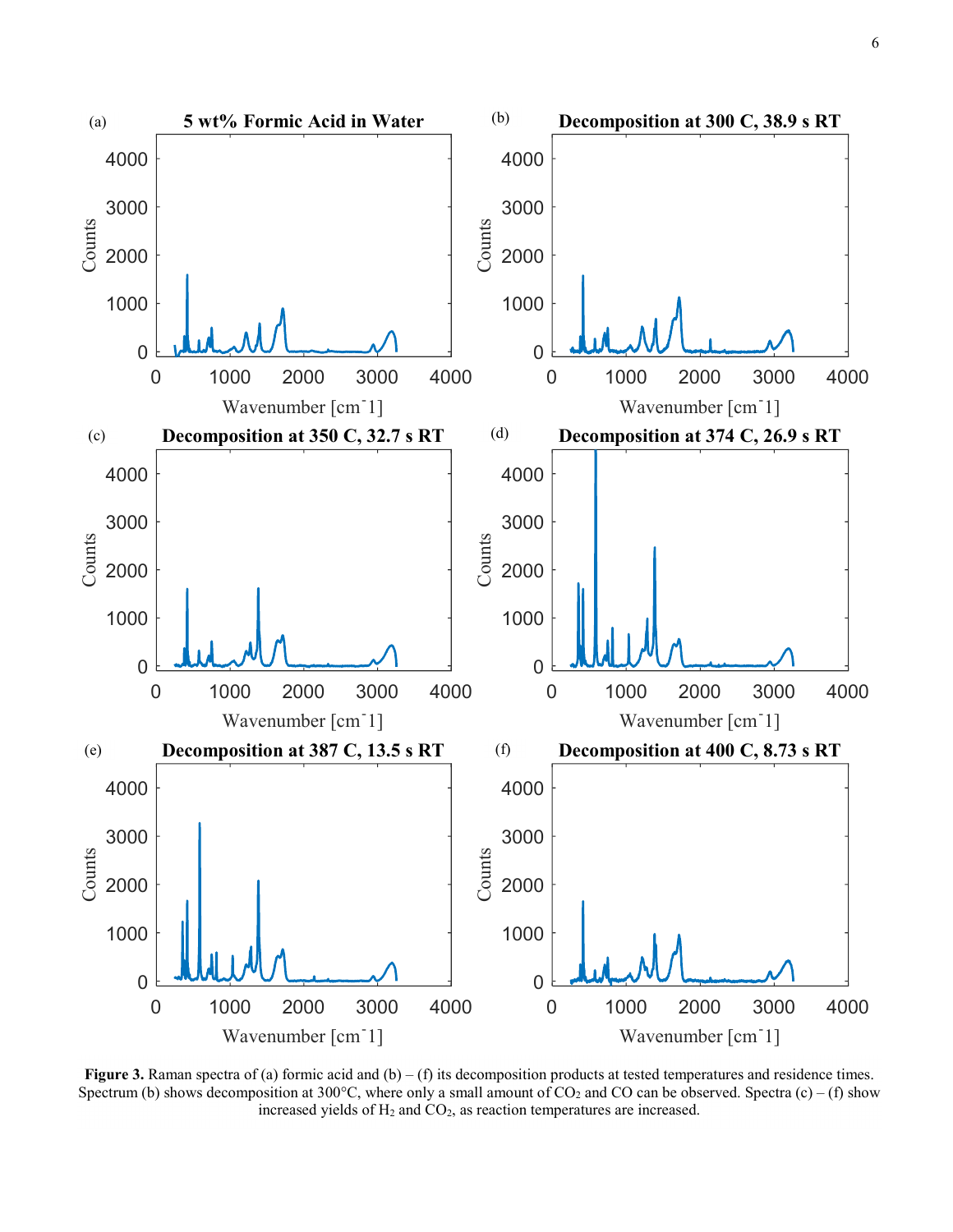

Figure 3. Raman spectra of (a) formic acid and  $(b) - (f)$  its decomposition products at tested temperatures and residence times. Spectrum (b) shows decomposition at 300°C, where only a small amount of  $CO_2$  and CO can be observed. Spectra (c) – (f) show increased yields of  $H_2$  and  $CO_2$ , as reaction temperatures are increased.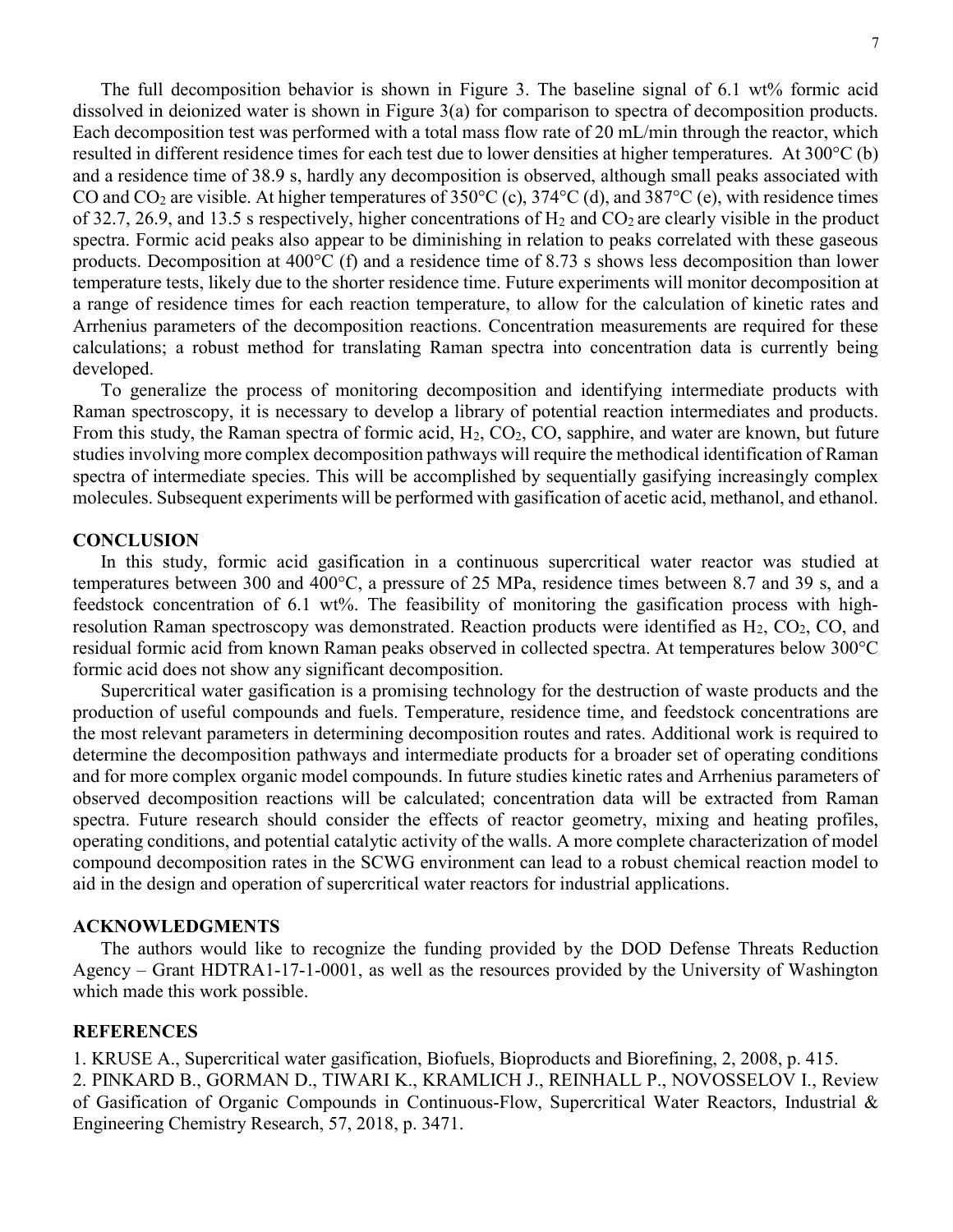The full decomposition behavior is shown in Figure 3. The baseline signal of 6.1 wt% formic acid dissolved in deionized water is shown in Figure 3(a) for comparison to spectra of decomposition products. Each decomposition test was performed with a total mass flow rate of 20 mL/min through the reactor, which resulted in different residence times for each test due to lower densities at higher temperatures. At 300°C (b) and a residence time of 38.9 s, hardly any decomposition is observed, although small peaks associated with CO and CO<sub>2</sub> are visible. At higher temperatures of  $350^{\circ}$ C (c),  $374^{\circ}$ C (d), and  $387^{\circ}$ C (e), with residence times of 32.7, 26.9, and 13.5 s respectively, higher concentrations of  $H_2$  and  $CO_2$  are clearly visible in the product spectra. Formic acid peaks also appear to be diminishing in relation to peaks correlated with these gaseous products. Decomposition at 400°C (f) and a residence time of 8.73 s shows less decomposition than lower temperature tests, likely due to the shorter residence time. Future experiments will monitor decomposition at a range of residence times for each reaction temperature, to allow for the calculation of kinetic rates and Arrhenius parameters of the decomposition reactions. Concentration measurements are required for these calculations; a robust method for translating Raman spectra into concentration data is currently being developed.

To generalize the process of monitoring decomposition and identifying intermediate products with Raman spectroscopy, it is necessary to develop a library of potential reaction intermediates and products. From this study, the Raman spectra of formic acid,  $H_2$ ,  $CO_2$ ,  $CO$ , sapphire, and water are known, but future studies involving more complex decomposition pathways will require the methodical identification of Raman spectra of intermediate species. This will be accomplished by sequentially gasifying increasingly complex molecules. Subsequent experiments will be performed with gasification of acetic acid, methanol, and ethanol.

## **CONCLUSION**

In this study, formic acid gasification in a continuous supercritical water reactor was studied at temperatures between 300 and 400°C, a pressure of 25 MPa, residence times between 8.7 and 39 s, and a feedstock concentration of 6.1 wt%. The feasibility of monitoring the gasification process with highresolution Raman spectroscopy was demonstrated. Reaction products were identified as  $H_2$ , CO<sub>2</sub>, CO, and residual formic acid from known Raman peaks observed in collected spectra. At temperatures below 300°C formic acid does not show any significant decomposition.

Supercritical water gasification is a promising technology for the destruction of waste products and the production of useful compounds and fuels. Temperature, residence time, and feedstock concentrations are the most relevant parameters in determining decomposition routes and rates. Additional work is required to determine the decomposition pathways and intermediate products for a broader set of operating conditions and for more complex organic model compounds. In future studies kinetic rates and Arrhenius parameters of observed decomposition reactions will be calculated; concentration data will be extracted from Raman spectra. Future research should consider the effects of reactor geometry, mixing and heating profiles, operating conditions, and potential catalytic activity of the walls. A more complete characterization of model compound decomposition rates in the SCWG environment can lead to a robust chemical reaction model to aid in the design and operation of supercritical water reactors for industrial applications.

#### ACKNOWLEDGMENTS

The authors would like to recognize the funding provided by the DOD Defense Threats Reduction Agency – Grant HDTRA1-17-1-0001, as well as the resources provided by the University of Washington which made this work possible.

# **REFERENCES**

1. KRUSE A., Supercritical water gasification, Biofuels, Bioproducts and Biorefining, 2, 2008, p. 415. 2. PINKARD B., GORMAN D., TIWARI K., KRAMLICH J., REINHALL P., NOVOSSELOV I., Review of Gasification of Organic Compounds in Continuous-Flow, Supercritical Water Reactors, Industrial & Engineering Chemistry Research, 57, 2018, p. 3471.